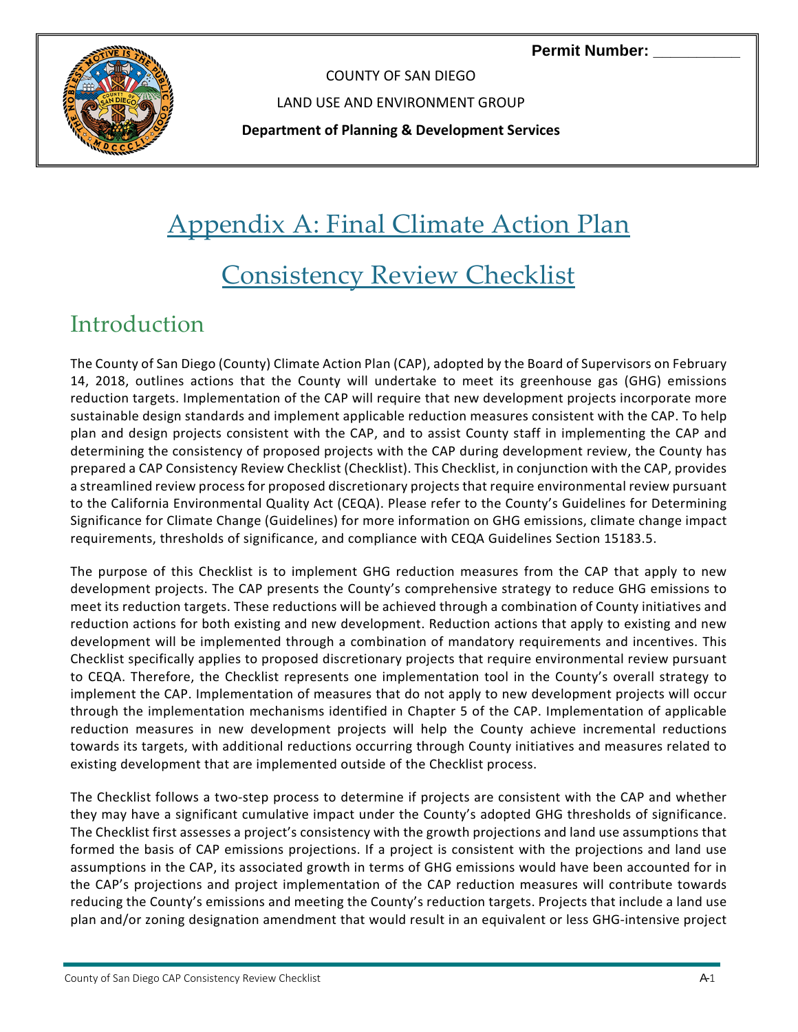**Permit Number:** 



COUNTY OF SAN DIEGO

LAND USE AND ENVIRONMENT GROUP

**Department of Planning & Development Services**

# Appendix A: Final Climate Action Plan

# Consistency Review Checklist

#### Introduction

The County of San Diego (County) Climate Action Plan (CAP), adopted by the Board of Supervisors on February 14, 2018, outlines actions that the County will undertake to meet its greenhouse gas (GHG) emissions reduction targets. Implementation of the CAP will require that new development projects incorporate more sustainable design standards and implement applicable reduction measures consistent with the CAP. To help plan and design projects consistent with the CAP, and to assist County staff in implementing the CAP and determining the consistency of proposed projects with the CAP during development review, the County has prepared a CAP Consistency Review Checklist (Checklist). This Checklist, in conjunction with the CAP, provides a streamlined review process for proposed discretionary projects that require environmental review pursuant to the California Environmental Quality Act (CEQA). Please refer to the County's Guidelines for Determining Significance for Climate Change (Guidelines) for more information on GHG emissions, climate change impact requirements, thresholds of significance, and compliance with CEQA Guidelines Section 15183.5.

The purpose of this Checklist is to implement GHG reduction measures from the CAP that apply to new development projects. The CAP presents the County's comprehensive strategy to reduce GHG emissions to meet its reduction targets. These reductions will be achieved through a combination of County initiatives and reduction actions for both existing and new development. Reduction actions that apply to existing and new development will be implemented through a combination of mandatory requirements and incentives. This Checklist specifically applies to proposed discretionary projects that require environmental review pursuant to CEQA. Therefore, the Checklist represents one implementation tool in the County's overall strategy to implement the CAP. Implementation of measures that do not apply to new development projects will occur through the implementation mechanisms identified in Chapter 5 of the CAP. Implementation of applicable reduction measures in new development projects will help the County achieve incremental reductions towards its targets, with additional reductions occurring through County initiatives and measures related to existing development that are implemented outside of the Checklist process.

The Checklist follows a two‐step process to determine if projects are consistent with the CAP and whether they may have a significant cumulative impact under the County's adopted GHG thresholds of significance. The Checklist first assesses a project's consistency with the growth projections and land use assumptions that formed the basis of CAP emissions projections. If a project is consistent with the projections and land use assumptions in the CAP, its associated growth in terms of GHG emissions would have been accounted for in the CAP's projections and project implementation of the CAP reduction measures will contribute towards reducing the County's emissions and meeting the County's reduction targets. Projects that include a land use plan and/or zoning designation amendment that would result in an equivalent or less GHG‐intensive project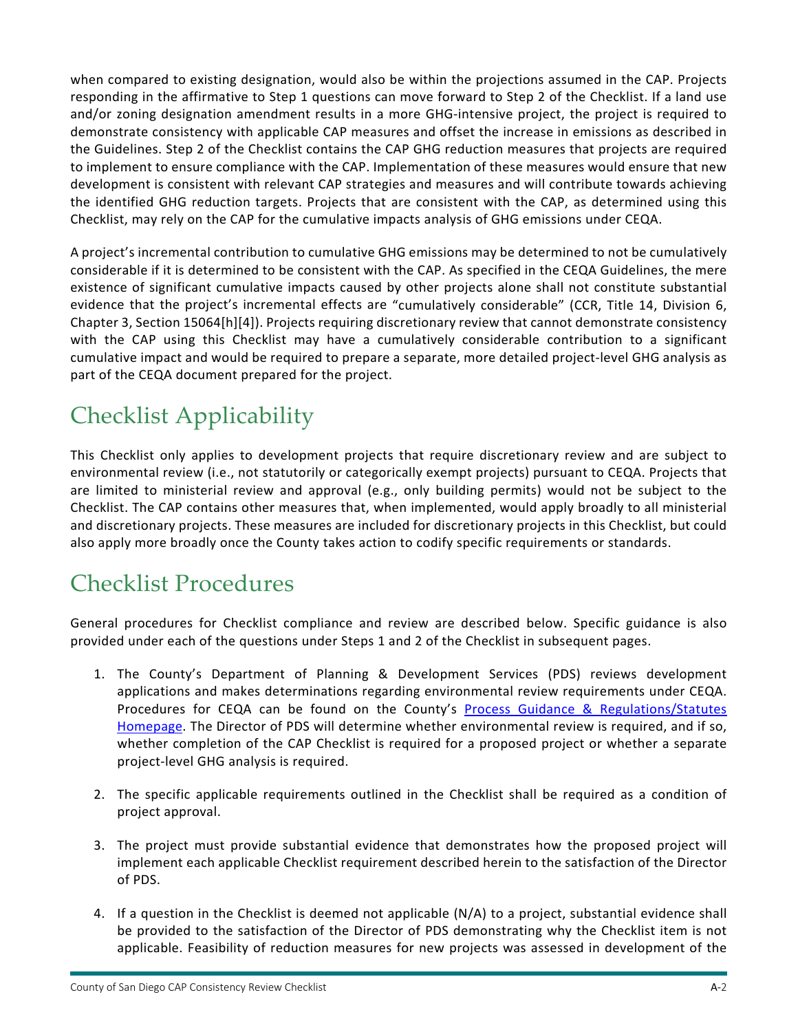when compared to existing designation, would also be within the projections assumed in the CAP. Projects responding in the affirmative to Step 1 questions can move forward to Step 2 of the Checklist. If a land use and/or zoning designation amendment results in a more GHG-intensive project, the project is required to demonstrate consistency with applicable CAP measures and offset the increase in emissions as described in the Guidelines. Step 2 of the Checklist contains the CAP GHG reduction measures that projects are required to implement to ensure compliance with the CAP. Implementation of these measures would ensure that new development is consistent with relevant CAP strategies and measures and will contribute towards achieving the identified GHG reduction targets. Projects that are consistent with the CAP, as determined using this Checklist, may rely on the CAP for the cumulative impacts analysis of GHG emissions under CEQA.

A project's incremental contribution to cumulative GHG emissions may be determined to not be cumulatively considerable if it is determined to be consistent with the CAP. As specified in the CEQA Guidelines, the mere existence of significant cumulative impacts caused by other projects alone shall not constitute substantial evidence that the project's incremental effects are "cumulatively considerable" (CCR, Title 14, Division 6, Chapter 3, Section 15064[h][4]). Projects requiring discretionary review that cannot demonstrate consistency with the CAP using this Checklist may have a cumulatively considerable contribution to a significant cumulative impact and would be required to prepare a separate, more detailed project‐level GHG analysis as part of the CEQA document prepared for the project.

## Checklist Applicability

This Checklist only applies to development projects that require discretionary review and are subject to environmental review (i.e., not statutorily or categorically exempt projects) pursuant to CEQA. Projects that are limited to ministerial review and approval (e.g., only building permits) would not be subject to the Checklist. The CAP contains other measures that, when implemented, would apply broadly to all ministerial and discretionary projects. These measures are included for discretionary projects in this Checklist, but could also apply more broadly once the County takes action to codify specific requirements or standards.

#### Checklist Procedures

General procedures for Checklist compliance and review are described below. Specific guidance is also provided under each of the questions under Steps 1 and 2 of the Checklist in subsequent pages.

- 1. The County's Department of Planning & Development Services (PDS) reviews development applications and makes determinations regarding environmental review requirements under CEQA. Procedures for CEQA can be found on the County's Process Guidance & Regulations/Statutes Homepage. The Director of PDS will determine whether environmental review is required, and if so, whether completion of the CAP Checklist is required for a proposed project or whether a separate project‐level GHG analysis is required.
- 2. The specific applicable requirements outlined in the Checklist shall be required as a condition of project approval.
- 3. The project must provide substantial evidence that demonstrates how the proposed project will implement each applicable Checklist requirement described herein to the satisfaction of the Director of PDS.
- 4. If a question in the Checklist is deemed not applicable (N/A) to a project, substantial evidence shall be provided to the satisfaction of the Director of PDS demonstrating why the Checklist item is not applicable. Feasibility of reduction measures for new projects was assessed in development of the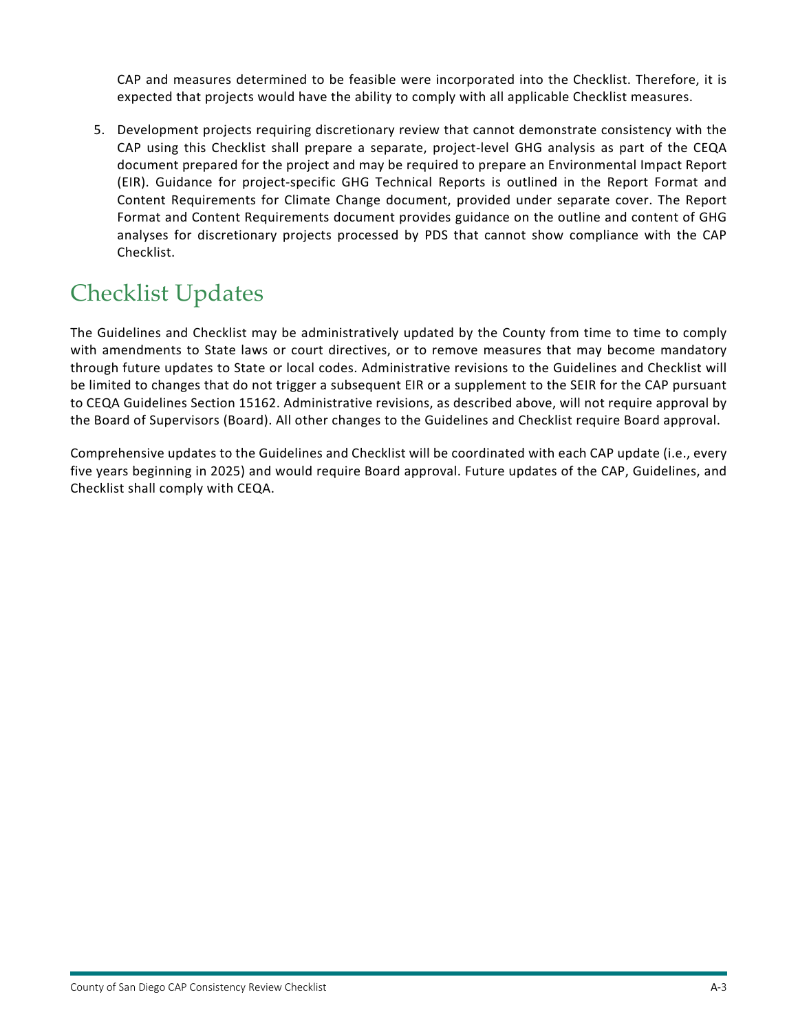CAP and measures determined to be feasible were incorporated into the Checklist. Therefore, it is expected that projects would have the ability to comply with all applicable Checklist measures.

5. Development projects requiring discretionary review that cannot demonstrate consistency with the CAP using this Checklist shall prepare a separate, project‐level GHG analysis as part of the CEQA document prepared for the project and may be required to prepare an Environmental Impact Report (EIR). Guidance for project‐specific GHG Technical Reports is outlined in the Report Format and Content Requirements for Climate Change document, provided under separate cover. The Report Format and Content Requirements document provides guidance on the outline and content of GHG analyses for discretionary projects processed by PDS that cannot show compliance with the CAP Checklist.

### Checklist Updates

The Guidelines and Checklist may be administratively updated by the County from time to time to comply with amendments to State laws or court directives, or to remove measures that may become mandatory through future updates to State or local codes. Administrative revisions to the Guidelines and Checklist will be limited to changes that do not trigger a subsequent EIR or a supplement to the SEIR for the CAP pursuant to CEQA Guidelines Section 15162. Administrative revisions, as described above, will not require approval by the Board of Supervisors (Board). All other changes to the Guidelines and Checklist require Board approval.

Comprehensive updates to the Guidelines and Checklist will be coordinated with each CAP update (i.e., every five years beginning in 2025) and would require Board approval. Future updates of the CAP, Guidelines, and Checklist shall comply with CEQA.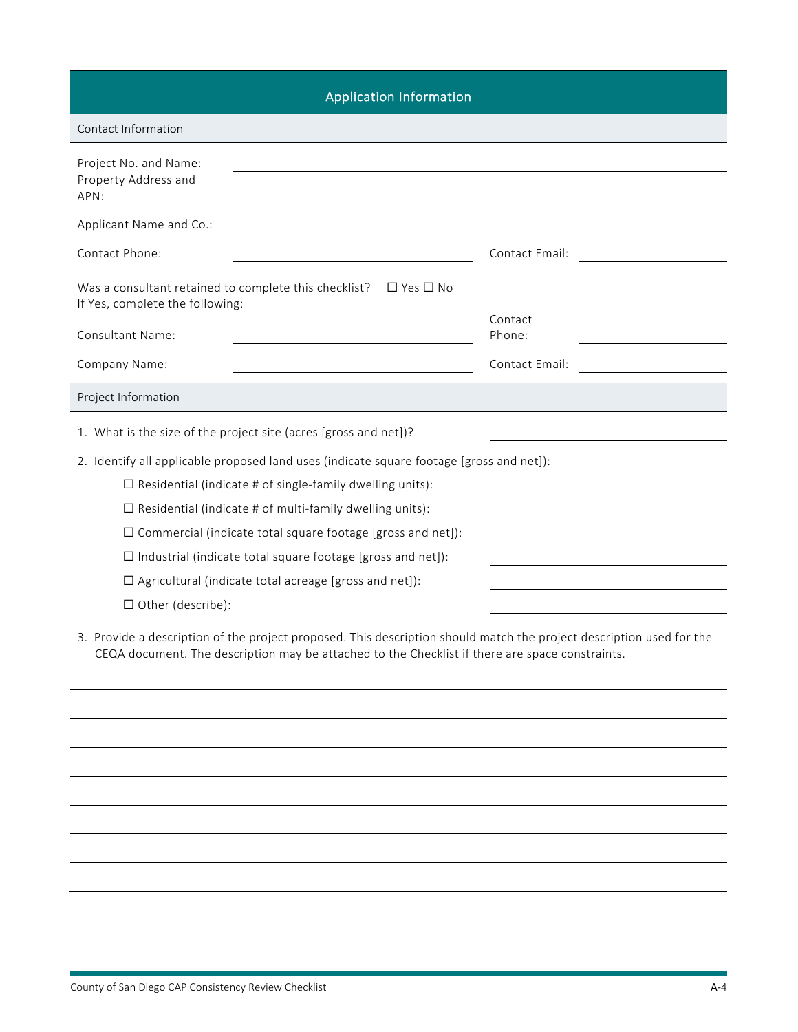| <b>Application Information</b>                                                                                                                                                                                          |                   |
|-------------------------------------------------------------------------------------------------------------------------------------------------------------------------------------------------------------------------|-------------------|
| Contact Information                                                                                                                                                                                                     |                   |
| Project No. and Name:<br>Property Address and<br>APN:                                                                                                                                                                   |                   |
| Applicant Name and Co.:                                                                                                                                                                                                 |                   |
| Contact Phone:                                                                                                                                                                                                          | Contact Email:    |
| Was a consultant retained to complete this checklist?<br>$\Box$ Yes $\Box$ No<br>If Yes, complete the following:                                                                                                        |                   |
| <b>Consultant Name:</b>                                                                                                                                                                                                 | Contact<br>Phone: |
| Company Name:                                                                                                                                                                                                           | Contact Email:    |
| Project Information                                                                                                                                                                                                     |                   |
| 1. What is the size of the project site (acres [gross and net])?                                                                                                                                                        |                   |
| 2. Identify all applicable proposed land uses (indicate square footage [gross and net]):                                                                                                                                |                   |
| $\Box$ Residential (indicate # of single-family dwelling units):                                                                                                                                                        |                   |
| $\Box$ Residential (indicate # of multi-family dwelling units):                                                                                                                                                         |                   |
| $\Box$ Commercial (indicate total square footage [gross and net]):                                                                                                                                                      |                   |
| $\Box$ Industrial (indicate total square footage [gross and net]):                                                                                                                                                      |                   |
| $\Box$ Agricultural (indicate total acreage [gross and net]):                                                                                                                                                           |                   |
| $\Box$ Other (describe):                                                                                                                                                                                                |                   |
| 3. Provide a description of the project proposed. This description should match the project description used for the<br>CEQA document. The description may be attached to the Checklist if there are space constraints. |                   |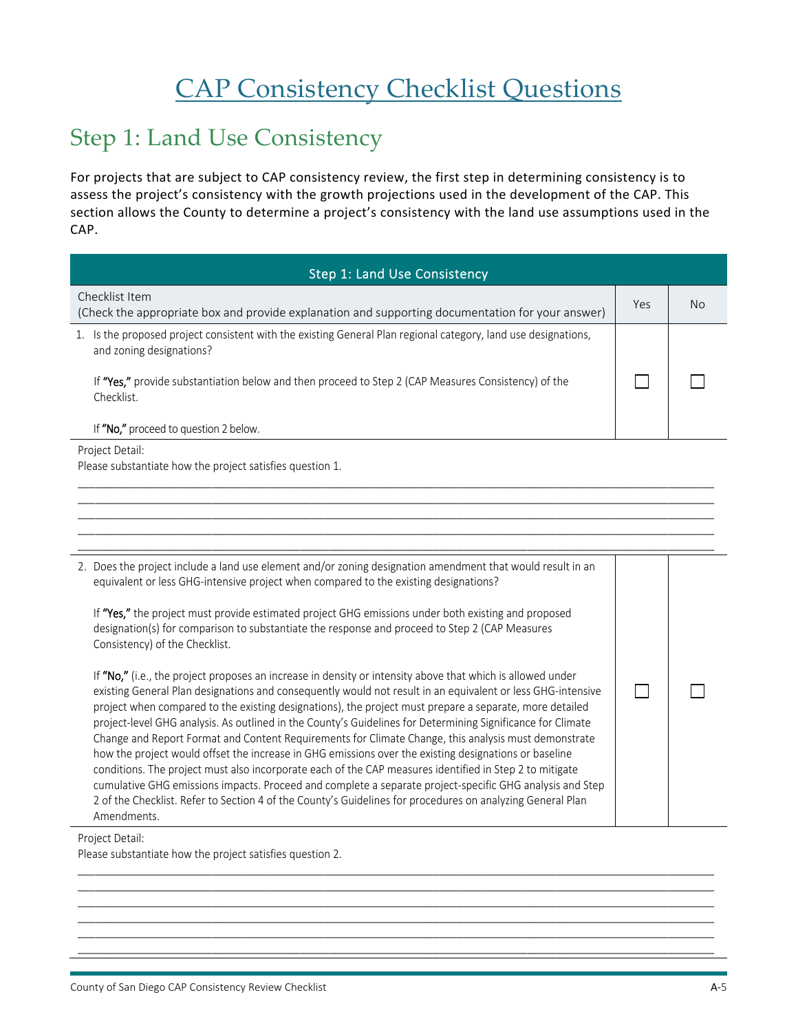# CAP Consistency Checklist Questions

#### Step 1: Land Use Consistency

For projects that are subject to CAP consistency review, the first step in determining consistency is to assess the project's consistency with the growth projections used in the development of the CAP. This section allows the County to determine a project's consistency with the land use assumptions used in the CAP.

| Step 1: Land Use Consistency                                                                                                                  |     |     |
|-----------------------------------------------------------------------------------------------------------------------------------------------|-----|-----|
| Checklist Item<br>(Check the appropriate box and provide explanation and supporting documentation for your answer)                            | Yes | No. |
| Is the proposed project consistent with the existing General Plan regional category, land use designations,<br>1.<br>and zoning designations? |     |     |
| If "Yes," provide substantiation below and then proceed to Step 2 (CAP Measures Consistency) of the<br>Checklist.                             |     |     |
| If "No," proceed to question 2 below.                                                                                                         |     |     |
| Project Detail:                                                                                                                               |     |     |

\_\_\_\_\_\_\_\_\_\_\_\_\_\_\_\_\_\_\_\_\_\_\_\_\_\_\_\_\_\_\_\_\_\_\_\_\_\_\_\_\_\_\_\_\_\_\_\_\_\_\_\_\_\_\_\_\_\_\_\_\_\_\_\_\_\_\_\_\_\_\_\_\_\_\_\_\_\_\_\_\_\_\_\_\_\_\_\_\_\_\_\_\_\_\_\_\_\_\_\_\_\_\_\_\_\_\_\_\_ \_\_\_\_\_\_\_\_\_\_\_\_\_\_\_\_\_\_\_\_\_\_\_\_\_\_\_\_\_\_\_\_\_\_\_\_\_\_\_\_\_\_\_\_\_\_\_\_\_\_\_\_\_\_\_\_\_\_\_\_\_\_\_\_\_\_\_\_\_\_\_\_\_\_\_\_\_\_\_\_\_\_\_\_\_\_\_\_\_\_\_\_\_\_\_\_\_\_\_\_\_\_\_\_\_\_\_\_\_ \_\_\_\_\_\_\_\_\_\_\_\_\_\_\_\_\_\_\_\_\_\_\_\_\_\_\_\_\_\_\_\_\_\_\_\_\_\_\_\_\_\_\_\_\_\_\_\_\_\_\_\_\_\_\_\_\_\_\_\_\_\_\_\_\_\_\_\_\_\_\_\_\_\_\_\_\_\_\_\_\_\_\_\_\_\_\_\_\_\_\_\_\_\_\_\_\_\_\_\_\_\_\_\_\_\_\_\_\_ \_\_\_\_\_\_\_\_\_\_\_\_\_\_\_\_\_\_\_\_\_\_\_\_\_\_\_\_\_\_\_\_\_\_\_\_\_\_\_\_\_\_\_\_\_\_\_\_\_\_\_\_\_\_\_\_\_\_\_\_\_\_\_\_\_\_\_\_\_\_\_\_\_\_\_\_\_\_\_\_\_\_\_\_\_\_\_\_\_\_\_\_\_\_\_\_\_\_\_\_\_\_\_\_\_\_\_\_\_ \_\_\_\_\_\_\_\_\_\_\_\_\_\_\_\_\_\_\_\_\_\_\_\_\_\_\_\_\_\_\_\_\_\_\_\_\_\_\_\_\_\_\_\_\_\_\_\_\_\_\_\_\_\_\_\_\_\_\_\_\_\_\_\_\_\_\_\_\_\_\_\_\_\_\_\_\_\_\_\_\_\_\_\_\_\_\_\_\_\_\_\_\_\_\_\_\_\_\_\_\_\_\_\_\_\_\_\_\_

Please substantiate how the project satisfies question 1.

| 2. Does the project include a land use element and/or zoning designation amendment that would result in an<br>equivalent or less GHG-intensive project when compared to the existing designations?                                                                                                                                                                                                                                                                                                                                                                                                                                                                                                                                                                                                                                                                                                                                                                                                                       |  |
|--------------------------------------------------------------------------------------------------------------------------------------------------------------------------------------------------------------------------------------------------------------------------------------------------------------------------------------------------------------------------------------------------------------------------------------------------------------------------------------------------------------------------------------------------------------------------------------------------------------------------------------------------------------------------------------------------------------------------------------------------------------------------------------------------------------------------------------------------------------------------------------------------------------------------------------------------------------------------------------------------------------------------|--|
| If "Yes," the project must provide estimated project GHG emissions under both existing and proposed<br>designation(s) for comparison to substantiate the response and proceed to Step 2 (CAP Measures<br>Consistency) of the Checklist.                                                                                                                                                                                                                                                                                                                                                                                                                                                                                                                                                                                                                                                                                                                                                                                  |  |
| If "No," (i.e., the project proposes an increase in density or intensity above that which is allowed under<br>existing General Plan designations and consequently would not result in an equivalent or less GHG-intensive<br>project when compared to the existing designations), the project must prepare a separate, more detailed<br>project-level GHG analysis. As outlined in the County's Guidelines for Determining Significance for Climate<br>Change and Report Format and Content Requirements for Climate Change, this analysis must demonstrate<br>how the project would offset the increase in GHG emissions over the existing designations or baseline<br>conditions. The project must also incorporate each of the CAP measures identified in Step 2 to mitigate<br>cumulative GHG emissions impacts. Proceed and complete a separate project-specific GHG analysis and Step<br>2 of the Checklist. Refer to Section 4 of the County's Guidelines for procedures on analyzing General Plan<br>Amendments. |  |

\_\_\_\_\_\_\_\_\_\_\_\_\_\_\_\_\_\_\_\_\_\_\_\_\_\_\_\_\_\_\_\_\_\_\_\_\_\_\_\_\_\_\_\_\_\_\_\_\_\_\_\_\_\_\_\_\_\_\_\_\_\_\_\_\_\_\_\_\_\_\_\_\_\_\_\_\_\_\_\_\_\_\_\_\_\_\_\_\_\_\_\_\_\_\_\_\_\_\_\_\_\_\_\_\_\_\_\_\_ \_\_\_\_\_\_\_\_\_\_\_\_\_\_\_\_\_\_\_\_\_\_\_\_\_\_\_\_\_\_\_\_\_\_\_\_\_\_\_\_\_\_\_\_\_\_\_\_\_\_\_\_\_\_\_\_\_\_\_\_\_\_\_\_\_\_\_\_\_\_\_\_\_\_\_\_\_\_\_\_\_\_\_\_\_\_\_\_\_\_\_\_\_\_\_\_\_\_\_\_\_\_\_\_\_\_\_\_\_ \_\_\_\_\_\_\_\_\_\_\_\_\_\_\_\_\_\_\_\_\_\_\_\_\_\_\_\_\_\_\_\_\_\_\_\_\_\_\_\_\_\_\_\_\_\_\_\_\_\_\_\_\_\_\_\_\_\_\_\_\_\_\_\_\_\_\_\_\_\_\_\_\_\_\_\_\_\_\_\_\_\_\_\_\_\_\_\_\_\_\_\_\_\_\_\_\_\_\_\_\_\_\_\_\_\_\_\_\_ \_\_\_\_\_\_\_\_\_\_\_\_\_\_\_\_\_\_\_\_\_\_\_\_\_\_\_\_\_\_\_\_\_\_\_\_\_\_\_\_\_\_\_\_\_\_\_\_\_\_\_\_\_\_\_\_\_\_\_\_\_\_\_\_\_\_\_\_\_\_\_\_\_\_\_\_\_\_\_\_\_\_\_\_\_\_\_\_\_\_\_\_\_\_\_\_\_\_\_\_\_\_\_\_\_\_\_\_\_ \_\_\_\_\_\_\_\_\_\_\_\_\_\_\_\_\_\_\_\_\_\_\_\_\_\_\_\_\_\_\_\_\_\_\_\_\_\_\_\_\_\_\_\_\_\_\_\_\_\_\_\_\_\_\_\_\_\_\_\_\_\_\_\_\_\_\_\_\_\_\_\_\_\_\_\_\_\_\_\_\_\_\_\_\_\_\_\_\_\_\_\_\_\_\_\_\_\_\_\_\_\_\_\_\_\_\_\_\_ \_\_\_\_\_\_\_\_\_\_\_\_\_\_\_\_\_\_\_\_\_\_\_\_\_\_\_\_\_\_\_\_\_\_\_\_\_\_\_\_\_\_\_\_\_\_\_\_\_\_\_\_\_\_\_\_\_\_\_\_\_\_\_\_\_\_\_\_\_\_\_\_\_\_\_\_\_\_\_\_\_\_\_\_\_\_\_\_\_\_\_\_\_\_\_\_\_\_\_\_\_\_\_\_\_\_\_\_\_

#### Project Detail:

Please substantiate how the project satisfies question 2.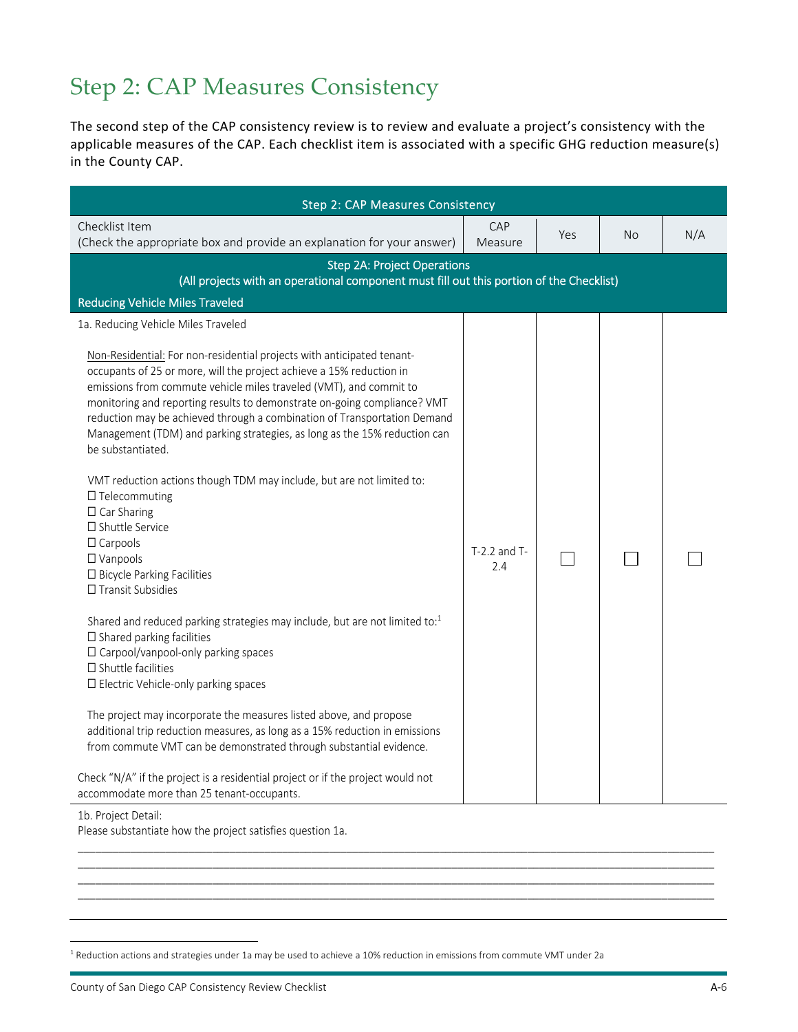### Step 2: CAP Measures Consistency

The second step of the CAP consistency review is to review and evaluate a project's consistency with the applicable measures of the CAP. Each checklist item is associated with a specific GHG reduction measure(s) in the County CAP.

| <b>Step 2: CAP Measures Consistency</b>                                                                                                                                                                                                                                                                                                                                                                                                                                                                                                                                                                                                                                                                                                                                                                                                                                                                                                                                                                                                                                                                                                                                                                                                                                                                                              |                         |     |           |     |
|--------------------------------------------------------------------------------------------------------------------------------------------------------------------------------------------------------------------------------------------------------------------------------------------------------------------------------------------------------------------------------------------------------------------------------------------------------------------------------------------------------------------------------------------------------------------------------------------------------------------------------------------------------------------------------------------------------------------------------------------------------------------------------------------------------------------------------------------------------------------------------------------------------------------------------------------------------------------------------------------------------------------------------------------------------------------------------------------------------------------------------------------------------------------------------------------------------------------------------------------------------------------------------------------------------------------------------------|-------------------------|-----|-----------|-----|
| Checklist Item<br>(Check the appropriate box and provide an explanation for your answer)                                                                                                                                                                                                                                                                                                                                                                                                                                                                                                                                                                                                                                                                                                                                                                                                                                                                                                                                                                                                                                                                                                                                                                                                                                             | CAP<br>Measure          | Yes | <b>No</b> | N/A |
| <b>Step 2A: Project Operations</b><br>(All projects with an operational component must fill out this portion of the Checklist)                                                                                                                                                                                                                                                                                                                                                                                                                                                                                                                                                                                                                                                                                                                                                                                                                                                                                                                                                                                                                                                                                                                                                                                                       |                         |     |           |     |
| <b>Reducing Vehicle Miles Traveled</b>                                                                                                                                                                                                                                                                                                                                                                                                                                                                                                                                                                                                                                                                                                                                                                                                                                                                                                                                                                                                                                                                                                                                                                                                                                                                                               |                         |     |           |     |
| 1a. Reducing Vehicle Miles Traveled                                                                                                                                                                                                                                                                                                                                                                                                                                                                                                                                                                                                                                                                                                                                                                                                                                                                                                                                                                                                                                                                                                                                                                                                                                                                                                  |                         |     |           |     |
| Non-Residential: For non-residential projects with anticipated tenant-<br>occupants of 25 or more, will the project achieve a 15% reduction in<br>emissions from commute vehicle miles traveled (VMT), and commit to<br>monitoring and reporting results to demonstrate on-going compliance? VMT<br>reduction may be achieved through a combination of Transportation Demand<br>Management (TDM) and parking strategies, as long as the 15% reduction can<br>be substantiated.<br>VMT reduction actions though TDM may include, but are not limited to:<br>$\Box$ Telecommuting<br>$\Box$ Car Sharing<br>□ Shuttle Service<br>$\Box$ Carpools<br>$\Box$ Vanpools<br>□ Bicycle Parking Facilities<br>$\Box$ Transit Subsidies<br>Shared and reduced parking strategies may include, but are not limited to: $1$<br>$\square$ Shared parking facilities<br>□ Carpool/vanpool-only parking spaces<br>$\square$ Shuttle facilities<br>□ Electric Vehicle-only parking spaces<br>The project may incorporate the measures listed above, and propose<br>additional trip reduction measures, as long as a 15% reduction in emissions<br>from commute VMT can be demonstrated through substantial evidence.<br>Check "N/A" if the project is a residential project or if the project would not<br>accommodate more than 25 tenant-occupants. | $T-2.2$ and $T-$<br>2.4 |     |           |     |

\_\_\_\_\_\_\_\_\_\_\_\_\_\_\_\_\_\_\_\_\_\_\_\_\_\_\_\_\_\_\_\_\_\_\_\_\_\_\_\_\_\_\_\_\_\_\_\_\_\_\_\_\_\_\_\_\_\_\_\_\_\_\_\_\_\_\_\_\_\_\_\_\_\_\_\_\_\_\_\_\_\_\_\_\_\_\_\_\_\_\_\_\_\_\_\_\_\_\_\_\_\_\_\_\_\_\_\_\_ \_\_\_\_\_\_\_\_\_\_\_\_\_\_\_\_\_\_\_\_\_\_\_\_\_\_\_\_\_\_\_\_\_\_\_\_\_\_\_\_\_\_\_\_\_\_\_\_\_\_\_\_\_\_\_\_\_\_\_\_\_\_\_\_\_\_\_\_\_\_\_\_\_\_\_\_\_\_\_\_\_\_\_\_\_\_\_\_\_\_\_\_\_\_\_\_\_\_\_\_\_\_\_\_\_\_\_\_\_ \_\_\_\_\_\_\_\_\_\_\_\_\_\_\_\_\_\_\_\_\_\_\_\_\_\_\_\_\_\_\_\_\_\_\_\_\_\_\_\_\_\_\_\_\_\_\_\_\_\_\_\_\_\_\_\_\_\_\_\_\_\_\_\_\_\_\_\_\_\_\_\_\_\_\_\_\_\_\_\_\_\_\_\_\_\_\_\_\_\_\_\_\_\_\_\_\_\_\_\_\_\_\_\_\_\_\_\_\_ \_\_\_\_\_\_\_\_\_\_\_\_\_\_\_\_\_\_\_\_\_\_\_\_\_\_\_\_\_\_\_\_\_\_\_\_\_\_\_\_\_\_\_\_\_\_\_\_\_\_\_\_\_\_\_\_\_\_\_\_\_\_\_\_\_\_\_\_\_\_\_\_\_\_\_\_\_\_\_\_\_\_\_\_\_\_\_\_\_\_\_\_\_\_\_\_\_\_\_\_\_\_\_\_\_\_\_\_\_

1b. Project Detail:

 $\overline{a}$ 

Please substantiate how the project satisfies question 1a.

 $1$  Reduction actions and strategies under 1a may be used to achieve a 10% reduction in emissions from commute VMT under 2a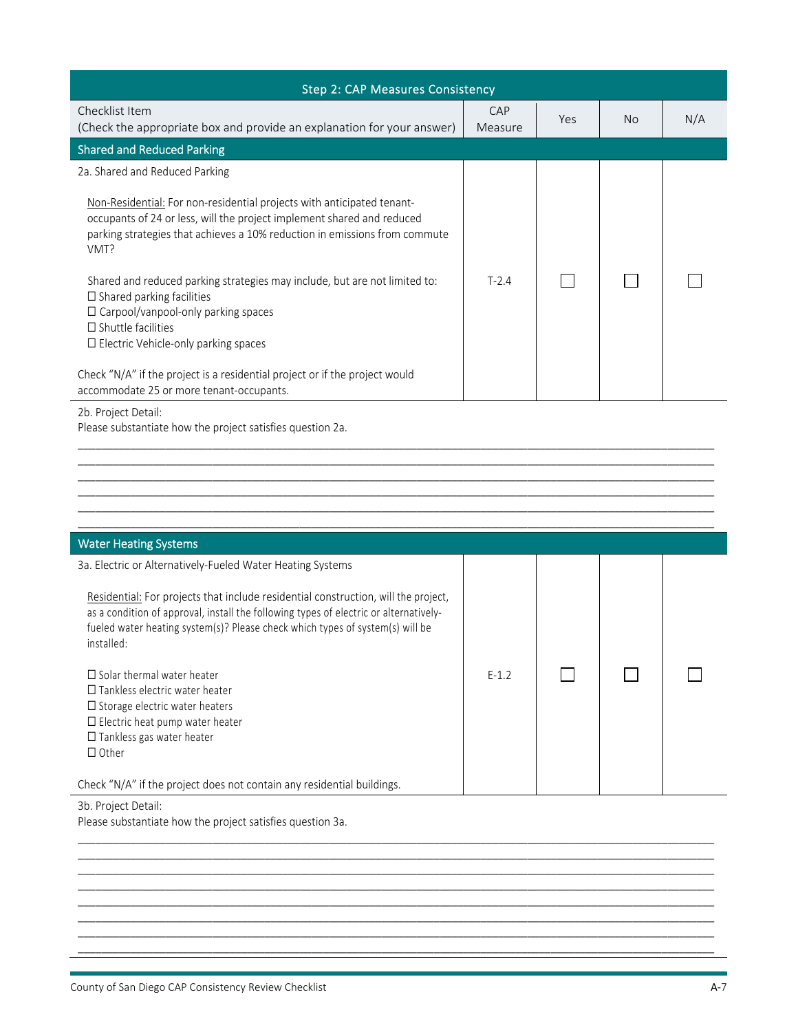| <b>Step 2: CAP Measures Consistency</b>                                                                                                                                                                                                                                                                                                                                                                                                                                                                                                                                                                                                         |                |     |           |     |
|-------------------------------------------------------------------------------------------------------------------------------------------------------------------------------------------------------------------------------------------------------------------------------------------------------------------------------------------------------------------------------------------------------------------------------------------------------------------------------------------------------------------------------------------------------------------------------------------------------------------------------------------------|----------------|-----|-----------|-----|
| Checklist Item<br>(Check the appropriate box and provide an explanation for your answer)                                                                                                                                                                                                                                                                                                                                                                                                                                                                                                                                                        | CAP<br>Measure | Yes | <b>No</b> | N/A |
| <b>Shared and Reduced Parking</b>                                                                                                                                                                                                                                                                                                                                                                                                                                                                                                                                                                                                               |                |     |           |     |
| 2a. Shared and Reduced Parking<br>Non-Residential: For non-residential projects with anticipated tenant-<br>occupants of 24 or less, will the project implement shared and reduced<br>parking strategies that achieves a 10% reduction in emissions from commute<br>VMT?<br>Shared and reduced parking strategies may include, but are not limited to:<br>$\Box$ Shared parking facilities<br>$\Box$ Carpool/vanpool-only parking spaces<br>$\Box$ Shuttle facilities<br>$\Box$ Electric Vehicle-only parking spaces<br>Check "N/A" if the project is a residential project or if the project would<br>accommodate 25 or more tenant-occupants. | $T-2.4$        |     |           |     |
| 2b. Project Detail:                                                                                                                                                                                                                                                                                                                                                                                                                                                                                                                                                                                                                             |                |     |           |     |

\_\_\_\_\_\_\_\_\_\_\_\_\_\_\_\_\_\_\_\_\_\_\_\_\_\_\_\_\_\_\_\_\_\_\_\_\_\_\_\_\_\_\_\_\_\_\_\_\_\_\_\_\_\_\_\_\_\_\_\_\_\_\_\_\_\_\_\_\_\_\_\_\_\_\_\_\_\_\_\_\_\_\_\_\_\_\_\_\_\_\_\_\_\_\_\_\_\_\_\_\_\_\_\_\_\_\_\_\_ \_\_\_\_\_\_\_\_\_\_\_\_\_\_\_\_\_\_\_\_\_\_\_\_\_\_\_\_\_\_\_\_\_\_\_\_\_\_\_\_\_\_\_\_\_\_\_\_\_\_\_\_\_\_\_\_\_\_\_\_\_\_\_\_\_\_\_\_\_\_\_\_\_\_\_\_\_\_\_\_\_\_\_\_\_\_\_\_\_\_\_\_\_\_\_\_\_\_\_\_\_\_\_\_\_\_\_\_\_ \_\_\_\_\_\_\_\_\_\_\_\_\_\_\_\_\_\_\_\_\_\_\_\_\_\_\_\_\_\_\_\_\_\_\_\_\_\_\_\_\_\_\_\_\_\_\_\_\_\_\_\_\_\_\_\_\_\_\_\_\_\_\_\_\_\_\_\_\_\_\_\_\_\_\_\_\_\_\_\_\_\_\_\_\_\_\_\_\_\_\_\_\_\_\_\_\_\_\_\_\_\_\_\_\_\_\_\_\_ \_\_\_\_\_\_\_\_\_\_\_\_\_\_\_\_\_\_\_\_\_\_\_\_\_\_\_\_\_\_\_\_\_\_\_\_\_\_\_\_\_\_\_\_\_\_\_\_\_\_\_\_\_\_\_\_\_\_\_\_\_\_\_\_\_\_\_\_\_\_\_\_\_\_\_\_\_\_\_\_\_\_\_\_\_\_\_\_\_\_\_\_\_\_\_\_\_\_\_\_\_\_\_\_\_\_\_\_\_ \_\_\_\_\_\_\_\_\_\_\_\_\_\_\_\_\_\_\_\_\_\_\_\_\_\_\_\_\_\_\_\_\_\_\_\_\_\_\_\_\_\_\_\_\_\_\_\_\_\_\_\_\_\_\_\_\_\_\_\_\_\_\_\_\_\_\_\_\_\_\_\_\_\_\_\_\_\_\_\_\_\_\_\_\_\_\_\_\_\_\_\_\_\_\_\_\_\_\_\_\_\_\_\_\_\_\_\_\_

Please substantiate how the project satisfies question 2a.

#### \_\_\_\_\_\_\_\_\_\_\_\_\_\_\_\_\_\_\_\_\_\_\_\_\_\_\_\_\_\_\_\_\_\_\_\_\_\_\_\_\_\_\_\_\_\_\_\_\_\_\_\_\_\_\_\_\_\_\_\_\_\_\_\_\_\_\_\_\_\_\_\_\_\_\_\_\_\_\_\_\_\_\_\_\_\_\_\_\_\_\_\_\_\_\_\_\_\_\_\_\_\_\_\_\_\_\_\_\_ Water Heating Systems 3a. Electric or Alternatively‐Fueled Water Heating Systems Residential: For projects that include residential construction, will the project, as a condition of approval, install the following types of electric or alternatively‐ fueled water heating system(s)? Please check which types of system(s) will be installed:  $\Box$  $\Box$  $\Box$ ☐ Solar thermal water heater E‐1.2 ☐ Tankless electric water heater ☐ Storage electric water heaters ☐ Electric heat pump water heater ☐ Tankless gas water heater ☐ Other Check "N/A" if the project does not contain any residential buildings. 3b. Project Detail:

\_\_\_\_\_\_\_\_\_\_\_\_\_\_\_\_\_\_\_\_\_\_\_\_\_\_\_\_\_\_\_\_\_\_\_\_\_\_\_\_\_\_\_\_\_\_\_\_\_\_\_\_\_\_\_\_\_\_\_\_\_\_\_\_\_\_\_\_\_\_\_\_\_\_\_\_\_\_\_\_\_\_\_\_\_\_\_\_\_\_\_\_\_\_\_\_\_\_\_\_\_\_\_\_\_\_\_\_\_ \_\_\_\_\_\_\_\_\_\_\_\_\_\_\_\_\_\_\_\_\_\_\_\_\_\_\_\_\_\_\_\_\_\_\_\_\_\_\_\_\_\_\_\_\_\_\_\_\_\_\_\_\_\_\_\_\_\_\_\_\_\_\_\_\_\_\_\_\_\_\_\_\_\_\_\_\_\_\_\_\_\_\_\_\_\_\_\_\_\_\_\_\_\_\_\_\_\_\_\_\_\_\_\_\_\_\_\_\_ \_\_\_\_\_\_\_\_\_\_\_\_\_\_\_\_\_\_\_\_\_\_\_\_\_\_\_\_\_\_\_\_\_\_\_\_\_\_\_\_\_\_\_\_\_\_\_\_\_\_\_\_\_\_\_\_\_\_\_\_\_\_\_\_\_\_\_\_\_\_\_\_\_\_\_\_\_\_\_\_\_\_\_\_\_\_\_\_\_\_\_\_\_\_\_\_\_\_\_\_\_\_\_\_\_\_\_\_\_ \_\_\_\_\_\_\_\_\_\_\_\_\_\_\_\_\_\_\_\_\_\_\_\_\_\_\_\_\_\_\_\_\_\_\_\_\_\_\_\_\_\_\_\_\_\_\_\_\_\_\_\_\_\_\_\_\_\_\_\_\_\_\_\_\_\_\_\_\_\_\_\_\_\_\_\_\_\_\_\_\_\_\_\_\_\_\_\_\_\_\_\_\_\_\_\_\_\_\_\_\_\_\_\_\_\_\_\_\_ \_\_\_\_\_\_\_\_\_\_\_\_\_\_\_\_\_\_\_\_\_\_\_\_\_\_\_\_\_\_\_\_\_\_\_\_\_\_\_\_\_\_\_\_\_\_\_\_\_\_\_\_\_\_\_\_\_\_\_\_\_\_\_\_\_\_\_\_\_\_\_\_\_\_\_\_\_\_\_\_\_\_\_\_\_\_\_\_\_\_\_\_\_\_\_\_\_\_\_\_\_\_\_\_\_\_\_\_\_ \_\_\_\_\_\_\_\_\_\_\_\_\_\_\_\_\_\_\_\_\_\_\_\_\_\_\_\_\_\_\_\_\_\_\_\_\_\_\_\_\_\_\_\_\_\_\_\_\_\_\_\_\_\_\_\_\_\_\_\_\_\_\_\_\_\_\_\_\_\_\_\_\_\_\_\_\_\_\_\_\_\_\_\_\_\_\_\_\_\_\_\_\_\_\_\_\_\_\_\_\_\_\_\_\_\_\_\_\_ \_\_\_\_\_\_\_\_\_\_\_\_\_\_\_\_\_\_\_\_\_\_\_\_\_\_\_\_\_\_\_\_\_\_\_\_\_\_\_\_\_\_\_\_\_\_\_\_\_\_\_\_\_\_\_\_\_\_\_\_\_\_\_\_\_\_\_\_\_\_\_\_\_\_\_\_\_\_\_\_\_\_\_\_\_\_\_\_\_\_\_\_\_\_\_\_\_\_\_\_\_\_\_\_\_\_\_\_\_ \_\_\_\_\_\_\_\_\_\_\_\_\_\_\_\_\_\_\_\_\_\_\_\_\_\_\_\_\_\_\_\_\_\_\_\_\_\_\_\_\_\_\_\_\_\_\_\_\_\_\_\_\_\_\_\_\_\_\_\_\_\_\_\_\_\_\_\_\_\_\_\_\_\_\_\_\_\_\_\_\_\_\_\_\_\_\_\_\_\_\_\_\_\_\_\_\_\_\_\_\_\_\_\_\_\_\_\_\_

Please substantiate how the project satisfies question 3a.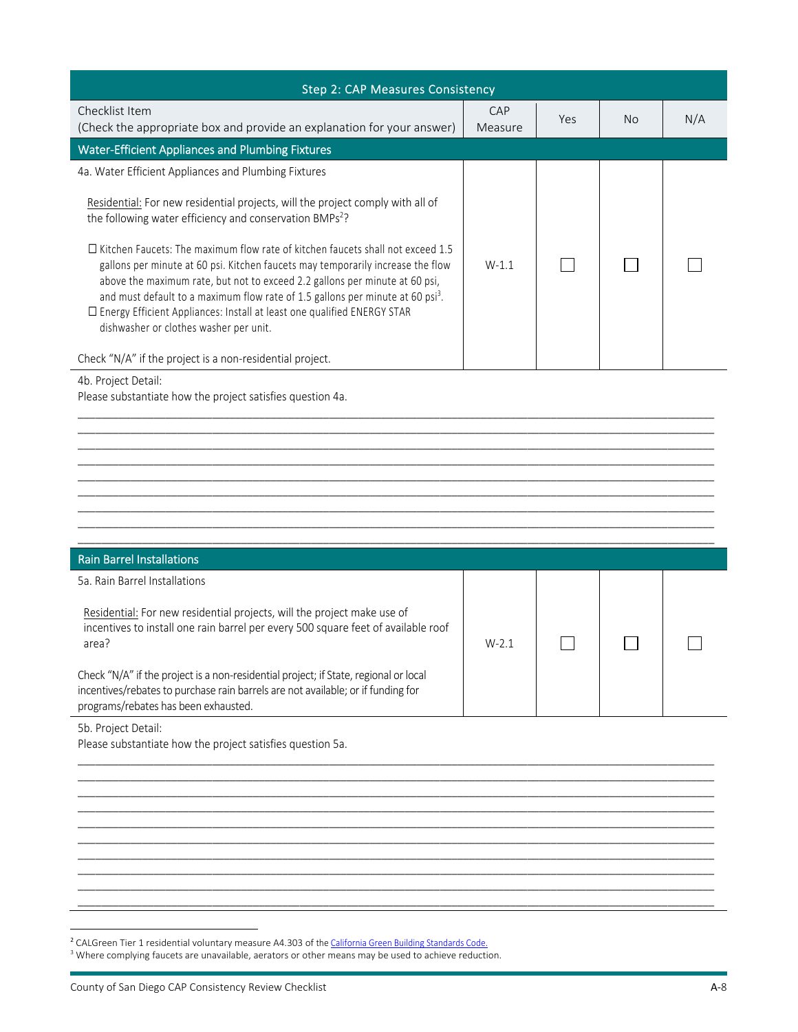| <b>Step 2: CAP Measures Consistency</b>                                                                                                                                                                                                                                                                                                                                                                                                                                                                                                                                                                                                       |                |     |           |     |
|-----------------------------------------------------------------------------------------------------------------------------------------------------------------------------------------------------------------------------------------------------------------------------------------------------------------------------------------------------------------------------------------------------------------------------------------------------------------------------------------------------------------------------------------------------------------------------------------------------------------------------------------------|----------------|-----|-----------|-----|
| Checklist Item<br>(Check the appropriate box and provide an explanation for your answer)                                                                                                                                                                                                                                                                                                                                                                                                                                                                                                                                                      | CAP<br>Measure | Yes | <b>No</b> | N/A |
| <b>Water-Efficient Appliances and Plumbing Fixtures</b>                                                                                                                                                                                                                                                                                                                                                                                                                                                                                                                                                                                       |                |     |           |     |
| 4a. Water Efficient Appliances and Plumbing Fixtures                                                                                                                                                                                                                                                                                                                                                                                                                                                                                                                                                                                          |                |     |           |     |
| Residential: For new residential projects, will the project comply with all of<br>the following water efficiency and conservation BMPs <sup>2</sup> ?<br>$\Box$ Kitchen Faucets: The maximum flow rate of kitchen faucets shall not exceed 1.5<br>gallons per minute at 60 psi. Kitchen faucets may temporarily increase the flow<br>above the maximum rate, but not to exceed 2.2 gallons per minute at 60 psi,<br>and must default to a maximum flow rate of 1.5 gallons per minute at 60 psi <sup>3</sup> .<br>$\square$ Energy Efficient Appliances: Install at least one qualified ENERGY STAR<br>dishwasher or clothes washer per unit. | $W-1.1$        |     |           |     |
| Check "N/A" if the project is a non-residential project.                                                                                                                                                                                                                                                                                                                                                                                                                                                                                                                                                                                      |                |     |           |     |
| 4b. Project Detail:<br>Please substantiate how the project satisfies question 4a.                                                                                                                                                                                                                                                                                                                                                                                                                                                                                                                                                             |                |     |           |     |
|                                                                                                                                                                                                                                                                                                                                                                                                                                                                                                                                                                                                                                               |                |     |           |     |

| <b>Rain Barrel Installations</b>                                                                                                                                                                                 |         |  |  |
|------------------------------------------------------------------------------------------------------------------------------------------------------------------------------------------------------------------|---------|--|--|
| 5a. Rain Barrel Installations                                                                                                                                                                                    |         |  |  |
| Residential: For new residential projects, will the project make use of<br>incentives to install one rain barrel per every 500 square feet of available roof<br>area?                                            | $W-2.1$ |  |  |
| Check "N/A" if the project is a non-residential project; if State, regional or local<br>incentives/rebates to purchase rain barrels are not available; or if funding for<br>programs/rebates has been exhausted. |         |  |  |
| 5b. Project Detail:                                                                                                                                                                                              |         |  |  |

\_\_\_\_\_\_\_\_\_\_\_\_\_\_\_\_\_\_\_\_\_\_\_\_\_\_\_\_\_\_\_\_\_\_\_\_\_\_\_\_\_\_\_\_\_\_\_\_\_\_\_\_\_\_\_\_\_\_\_\_\_\_\_\_\_\_\_\_\_\_\_\_\_\_\_\_\_\_\_\_\_\_\_\_\_\_\_\_\_\_\_\_\_\_\_\_\_\_\_\_\_\_\_\_\_\_\_\_\_ \_\_\_\_\_\_\_\_\_\_\_\_\_\_\_\_\_\_\_\_\_\_\_\_\_\_\_\_\_\_\_\_\_\_\_\_\_\_\_\_\_\_\_\_\_\_\_\_\_\_\_\_\_\_\_\_\_\_\_\_\_\_\_\_\_\_\_\_\_\_\_\_\_\_\_\_\_\_\_\_\_\_\_\_\_\_\_\_\_\_\_\_\_\_\_\_\_\_\_\_\_\_\_\_\_\_\_\_\_ \_\_\_\_\_\_\_\_\_\_\_\_\_\_\_\_\_\_\_\_\_\_\_\_\_\_\_\_\_\_\_\_\_\_\_\_\_\_\_\_\_\_\_\_\_\_\_\_\_\_\_\_\_\_\_\_\_\_\_\_\_\_\_\_\_\_\_\_\_\_\_\_\_\_\_\_\_\_\_\_\_\_\_\_\_\_\_\_\_\_\_\_\_\_\_\_\_\_\_\_\_\_\_\_\_\_\_\_\_ \_\_\_\_\_\_\_\_\_\_\_\_\_\_\_\_\_\_\_\_\_\_\_\_\_\_\_\_\_\_\_\_\_\_\_\_\_\_\_\_\_\_\_\_\_\_\_\_\_\_\_\_\_\_\_\_\_\_\_\_\_\_\_\_\_\_\_\_\_\_\_\_\_\_\_\_\_\_\_\_\_\_\_\_\_\_\_\_\_\_\_\_\_\_\_\_\_\_\_\_\_\_\_\_\_\_\_\_\_ \_\_\_\_\_\_\_\_\_\_\_\_\_\_\_\_\_\_\_\_\_\_\_\_\_\_\_\_\_\_\_\_\_\_\_\_\_\_\_\_\_\_\_\_\_\_\_\_\_\_\_\_\_\_\_\_\_\_\_\_\_\_\_\_\_\_\_\_\_\_\_\_\_\_\_\_\_\_\_\_\_\_\_\_\_\_\_\_\_\_\_\_\_\_\_\_\_\_\_\_\_\_\_\_\_\_\_\_\_ \_\_\_\_\_\_\_\_\_\_\_\_\_\_\_\_\_\_\_\_\_\_\_\_\_\_\_\_\_\_\_\_\_\_\_\_\_\_\_\_\_\_\_\_\_\_\_\_\_\_\_\_\_\_\_\_\_\_\_\_\_\_\_\_\_\_\_\_\_\_\_\_\_\_\_\_\_\_\_\_\_\_\_\_\_\_\_\_\_\_\_\_\_\_\_\_\_\_\_\_\_\_\_\_\_\_\_\_\_ \_\_\_\_\_\_\_\_\_\_\_\_\_\_\_\_\_\_\_\_\_\_\_\_\_\_\_\_\_\_\_\_\_\_\_\_\_\_\_\_\_\_\_\_\_\_\_\_\_\_\_\_\_\_\_\_\_\_\_\_\_\_\_\_\_\_\_\_\_\_\_\_\_\_\_\_\_\_\_\_\_\_\_\_\_\_\_\_\_\_\_\_\_\_\_\_\_\_\_\_\_\_\_\_\_\_\_\_\_ \_\_\_\_\_\_\_\_\_\_\_\_\_\_\_\_\_\_\_\_\_\_\_\_\_\_\_\_\_\_\_\_\_\_\_\_\_\_\_\_\_\_\_\_\_\_\_\_\_\_\_\_\_\_\_\_\_\_\_\_\_\_\_\_\_\_\_\_\_\_\_\_\_\_\_\_\_\_\_\_\_\_\_\_\_\_\_\_\_\_\_\_\_\_\_\_\_\_\_\_\_\_\_\_\_\_\_\_\_ \_\_\_\_\_\_\_\_\_\_\_\_\_\_\_\_\_\_\_\_\_\_\_\_\_\_\_\_\_\_\_\_\_\_\_\_\_\_\_\_\_\_\_\_\_\_\_\_\_\_\_\_\_\_\_\_\_\_\_\_\_\_\_\_\_\_\_\_\_\_\_\_\_\_\_\_\_\_\_\_\_\_\_\_\_\_\_\_\_\_\_\_\_\_\_\_\_\_\_\_\_\_\_\_\_\_\_\_\_ \_\_\_\_\_\_\_\_\_\_\_\_\_\_\_\_\_\_\_\_\_\_\_\_\_\_\_\_\_\_\_\_\_\_\_\_\_\_\_\_\_\_\_\_\_\_\_\_\_\_\_\_\_\_\_\_\_\_\_\_\_\_\_\_\_\_\_\_\_\_\_\_\_\_\_\_\_\_\_\_\_\_\_\_\_\_\_\_\_\_\_\_\_\_\_\_\_\_\_\_\_\_\_\_\_\_\_\_\_

\_\_\_\_\_\_\_\_\_\_\_\_\_\_\_\_\_\_\_\_\_\_\_\_\_\_\_\_\_\_\_\_\_\_\_\_\_\_\_\_\_\_\_\_\_\_\_\_\_\_\_\_\_\_\_\_\_\_\_\_\_\_\_\_\_\_\_\_\_\_\_\_\_\_\_\_\_\_\_\_\_\_\_\_\_\_\_\_\_\_\_\_\_\_\_\_\_\_\_\_\_\_\_\_\_\_\_\_\_

Please substantiate how the project satisfies question 5a.

 $\overline{a}$ 

<sup>&</sup>lt;sup>2</sup> CALGreen Tier 1 residential voluntary measure A4.303 of the California Green Building Standards Code.

<sup>&</sup>lt;sup>3</sup> Where complying faucets are unavailable, aerators or other means may be used to achieve reduction.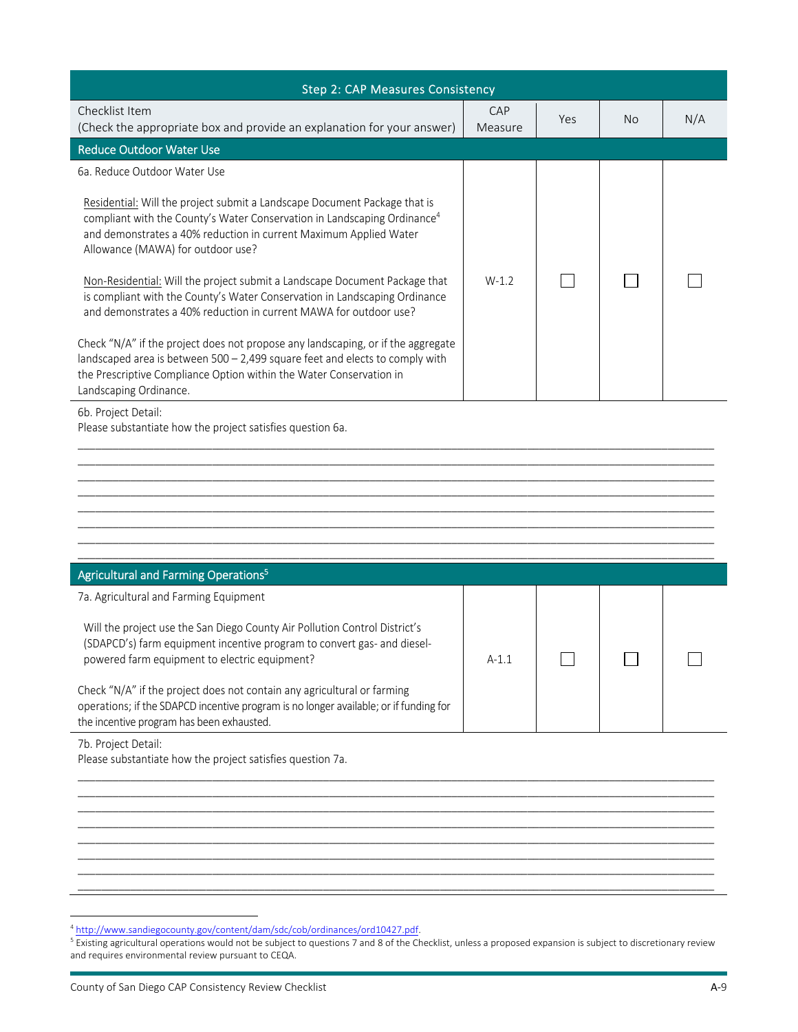| <b>Step 2: CAP Measures Consistency</b>                                                                                                                                                                                                                                     |                |     |           |     |
|-----------------------------------------------------------------------------------------------------------------------------------------------------------------------------------------------------------------------------------------------------------------------------|----------------|-----|-----------|-----|
| Checklist Item<br>(Check the appropriate box and provide an explanation for your answer)                                                                                                                                                                                    | CAP<br>Measure | Yes | <b>No</b> | N/A |
| <b>Reduce Outdoor Water Use</b>                                                                                                                                                                                                                                             |                |     |           |     |
| 6a. Reduce Outdoor Water Use                                                                                                                                                                                                                                                |                |     |           |     |
| Residential: Will the project submit a Landscape Document Package that is<br>compliant with the County's Water Conservation in Landscaping Ordinance <sup>4</sup><br>and demonstrates a 40% reduction in current Maximum Applied Water<br>Allowance (MAWA) for outdoor use? |                |     |           |     |
| Non-Residential: Will the project submit a Landscape Document Package that<br>is compliant with the County's Water Conservation in Landscaping Ordinance<br>and demonstrates a 40% reduction in current MAWA for outdoor use?                                               | $W-1.2$        |     |           |     |
| Check "N/A" if the project does not propose any landscaping, or if the aggregate<br>landscaped area is between 500 - 2,499 square feet and elects to comply with<br>the Prescriptive Compliance Option within the Water Conservation in<br>Landscaping Ordinance.           |                |     |           |     |
| 6b. Project Detail:<br>Please substantiate how the project satisfies question 6a.                                                                                                                                                                                           |                |     |           |     |
|                                                                                                                                                                                                                                                                             |                |     |           |     |
|                                                                                                                                                                                                                                                                             |                |     |           |     |
|                                                                                                                                                                                                                                                                             |                |     |           |     |
| Agricultural and Farming Operations <sup>5</sup>                                                                                                                                                                                                                            |                |     |           |     |
| 7a. Agricultural and Farming Equipment                                                                                                                                                                                                                                      |                |     |           |     |
| Will the project use the San Diego County Air Pollution Control District's<br>(SDAPCD's) farm equipment incentive program to convert gas- and diesel-<br>powered farm equipment to electric equipment?                                                                      | $A-1.1$        |     |           |     |
| Check "N/A" if the project does not contain any agricultural or farming<br>operations; if the SDAPCD incentive program is no longer available; or if funding for<br>the incentive program has been exhausted.                                                               |                |     |           |     |
| 7b. Project Detail:                                                                                                                                                                                                                                                         |                |     |           |     |

Please substantiate how the project satisfies question 7a.

\_\_\_\_\_\_\_\_\_\_\_\_\_\_\_\_\_\_\_\_\_\_\_\_\_\_\_\_\_\_\_\_\_\_\_\_\_\_\_\_\_\_\_\_\_\_\_\_\_\_\_\_\_\_\_\_\_\_\_\_\_\_\_\_\_\_\_\_\_\_\_\_\_\_\_\_\_\_\_\_\_\_\_\_\_\_\_\_\_\_\_\_\_\_\_\_\_\_\_\_\_\_\_\_\_\_\_\_\_ \_\_\_\_\_\_\_\_\_\_\_\_\_\_\_\_\_\_\_\_\_\_\_\_\_\_\_\_\_\_\_\_\_\_\_\_\_\_\_\_\_\_\_\_\_\_\_\_\_\_\_\_\_\_\_\_\_\_\_\_\_\_\_\_\_\_\_\_\_\_\_\_\_\_\_\_\_\_\_\_\_\_\_\_\_\_\_\_\_\_\_\_\_\_\_\_\_\_\_\_\_\_\_\_\_\_\_\_\_ \_\_\_\_\_\_\_\_\_\_\_\_\_\_\_\_\_\_\_\_\_\_\_\_\_\_\_\_\_\_\_\_\_\_\_\_\_\_\_\_\_\_\_\_\_\_\_\_\_\_\_\_\_\_\_\_\_\_\_\_\_\_\_\_\_\_\_\_\_\_\_\_\_\_\_\_\_\_\_\_\_\_\_\_\_\_\_\_\_\_\_\_\_\_\_\_\_\_\_\_\_\_\_\_\_\_\_\_\_ \_\_\_\_\_\_\_\_\_\_\_\_\_\_\_\_\_\_\_\_\_\_\_\_\_\_\_\_\_\_\_\_\_\_\_\_\_\_\_\_\_\_\_\_\_\_\_\_\_\_\_\_\_\_\_\_\_\_\_\_\_\_\_\_\_\_\_\_\_\_\_\_\_\_\_\_\_\_\_\_\_\_\_\_\_\_\_\_\_\_\_\_\_\_\_\_\_\_\_\_\_\_\_\_\_\_\_\_\_ \_\_\_\_\_\_\_\_\_\_\_\_\_\_\_\_\_\_\_\_\_\_\_\_\_\_\_\_\_\_\_\_\_\_\_\_\_\_\_\_\_\_\_\_\_\_\_\_\_\_\_\_\_\_\_\_\_\_\_\_\_\_\_\_\_\_\_\_\_\_\_\_\_\_\_\_\_\_\_\_\_\_\_\_\_\_\_\_\_\_\_\_\_\_\_\_\_\_\_\_\_\_\_\_\_\_\_\_\_ \_\_\_\_\_\_\_\_\_\_\_\_\_\_\_\_\_\_\_\_\_\_\_\_\_\_\_\_\_\_\_\_\_\_\_\_\_\_\_\_\_\_\_\_\_\_\_\_\_\_\_\_\_\_\_\_\_\_\_\_\_\_\_\_\_\_\_\_\_\_\_\_\_\_\_\_\_\_\_\_\_\_\_\_\_\_\_\_\_\_\_\_\_\_\_\_\_\_\_\_\_\_\_\_\_\_\_\_\_ \_\_\_\_\_\_\_\_\_\_\_\_\_\_\_\_\_\_\_\_\_\_\_\_\_\_\_\_\_\_\_\_\_\_\_\_\_\_\_\_\_\_\_\_\_\_\_\_\_\_\_\_\_\_\_\_\_\_\_\_\_\_\_\_\_\_\_\_\_\_\_\_\_\_\_\_\_\_\_\_\_\_\_\_\_\_\_\_\_\_\_\_\_\_\_\_\_\_\_\_\_\_\_\_\_\_\_\_\_ \_\_\_\_\_\_\_\_\_\_\_\_\_\_\_\_\_\_\_\_\_\_\_\_\_\_\_\_\_\_\_\_\_\_\_\_\_\_\_\_\_\_\_\_\_\_\_\_\_\_\_\_\_\_\_\_\_\_\_\_\_\_\_\_\_\_\_\_\_\_\_\_\_\_\_\_\_\_\_\_\_\_\_\_\_\_\_\_\_\_\_\_\_\_\_\_\_\_\_\_\_\_\_\_\_\_\_\_\_

 $\overline{a}$ 

<sup>&</sup>lt;sup>4</sup> http://www.sandiegocounty.gov/content/dam/sdc/cob/ordinances/ord10427.pdf.

 $^5$  Existing agricultural operations would not be subject to questions 7 and 8 of the Checklist, unless a proposed expansion is subject to discretionary review and requires environmental review pursuant to CEQA.